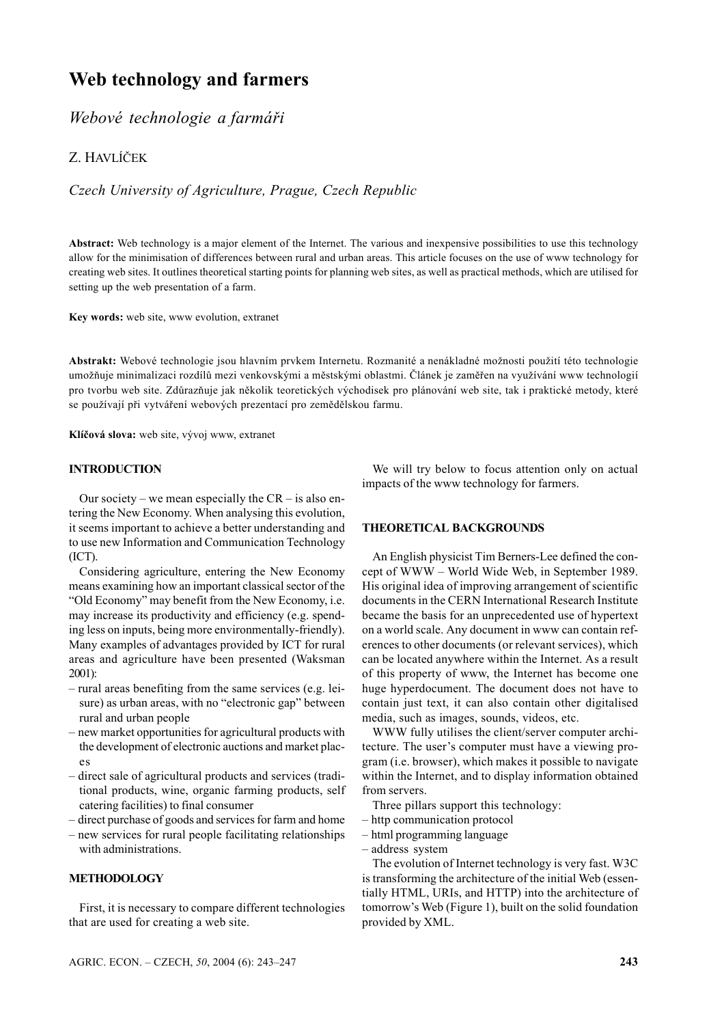# **Web technology and farmers**

*Webové technologie a farmáři*

# Z. HAVLÍČEK

*Czech University of Agriculture, Prague, Czech Republic*

**Abstract:** Web technology is a major element of the Internet. The various and inexpensive possibilities to use this technology allow for the minimisation of differences between rural and urban areas. This article focuses on the use of www technology for creating web sites. It outlines theoretical starting points for planning web sites, as well as practical methods, which are utilised for setting up the web presentation of a farm.

**Key words:** web site, www evolution, extranet

**Abstrakt:** Webové technologie jsou hlavním prvkem Internetu. Rozmanité a nenákladné možnosti použití této technologie umožňuje minimalizaci rozdílů mezi venkovskými a městskými oblastmi. Článek je zaměřen na využívání www technologií pro tvorbu web site. Zdůrazňuje jak několik teoretických východisek pro plánování web site, tak i praktické metody, které se používají při vytváření webových prezentací pro zemědělskou farmu.

**Klíčová slova:** web site, vývoj www, extranet

## **INTRODUCTION**

Our society – we mean especially the  $CR$  – is also entering the New Economy. When analysing this evolution, it seems important to achieve a better understanding and to use new Information and Communication Technology (ICT).

Considering agriculture, entering the New Economy means examining how an important classical sector of the "Old Economy" may benefit from the New Economy, i.e. may increase its productivity and efficiency (e.g. spending less on inputs, being more environmentally-friendly). Many examples of advantages provided by ICT for rural areas and agriculture have been presented (Waksman 2001):

- rural areas benefiting from the same services (e.g. leisure) as urban areas, with no "electronic gap" between rural and urban people
- new market opportunities for agricultural products with the development of electronic auctions and market places
- direct sale of agricultural products and services (traditional products, wine, organic farming products, self catering facilities) to final consumer
- direct purchase of goods and services for farm and home
- new services for rural people facilitating relationships with administrations.

## **METHODOLOGY**

First, it is necessary to compare different technologies that are used for creating a web site.

We will try below to focus attention only on actual impacts of the www technology for farmers.

# **THEORETICAL BACKGROUNDS**

An English physicist Tim Berners-Lee defined the concept of WWW – World Wide Web, in September 1989. His original idea of improving arrangement of scientific documents in the CERN International Research Institute became the basis for an unprecedented use of hypertext on a world scale. Any document in www can contain references to other documents (or relevant services), which can be located anywhere within the Internet. As a result of this property of www, the Internet has become one huge hyperdocument. The document does not have to contain just text, it can also contain other digitalised media, such as images, sounds, videos, etc.

WWW fully utilises the client/server computer architecture. The user's computer must have a viewing program (i.e. browser), which makes it possible to navigate within the Internet, and to display information obtained from servers.

Three pillars support this technology:

- http communication protocol
- html programming language
- address system

The evolution of Internet technology is very fast. W3C is transforming the architecture of the initial Web (essentially HTML, URIs, and HTTP) into the architecture of tomorrow's Web (Figure 1), built on the solid foundation provided by XML.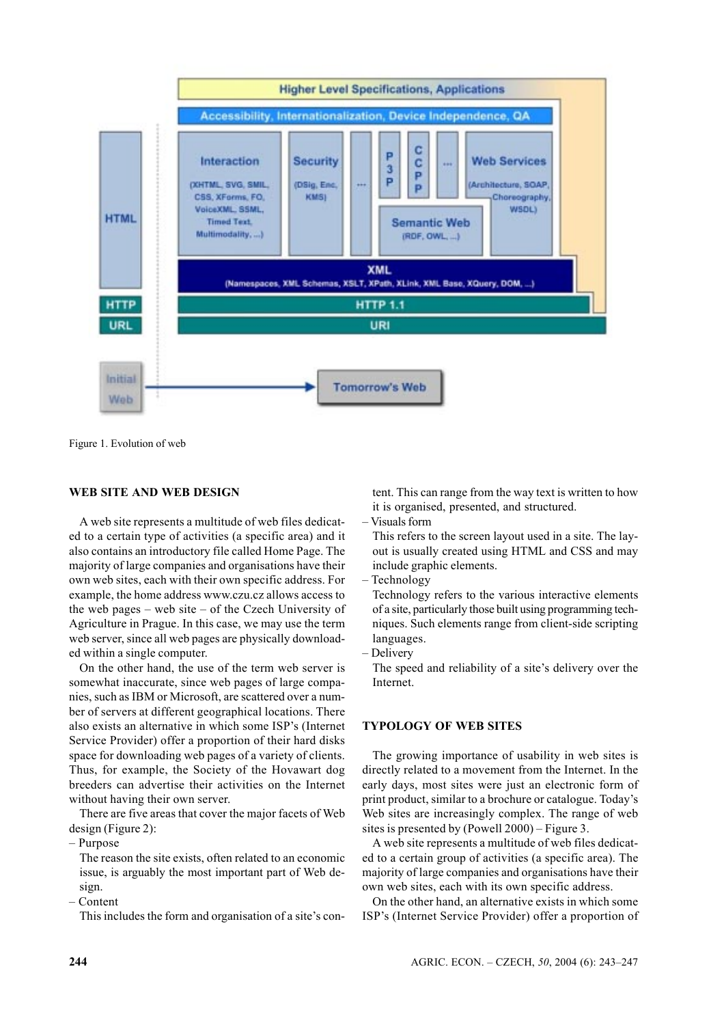

Figure 1. Evolution of web

## **WEB SITE AND WEB DESIGN**

A web site represents a multitude of web files dedicated to a certain type of activities (a specific area) and it also contains an introductory file called Home Page. The majority of large companies and organisations have their own web sites, each with their own specific address. For example, the home address www.czu.cz allows access to the web pages – web site – of the Czech University of Agriculture in Prague. In this case, we may use the term web server, since all web pages are physically downloaded within a single computer.

On the other hand, the use of the term web server is somewhat inaccurate, since web pages of large companies, such as IBM or Microsoft, are scattered over a number of servers at different geographical locations. There also exists an alternative in which some ISP's (Internet Service Provider) offer a proportion of their hard disks space for downloading web pages of a variety of clients. Thus, for example, the Society of the Hovawart dog breeders can advertise their activities on the Internet without having their own server.

There are five areas that cover the major facets of Web design (Figure 2):

– Purpose

The reason the site exists, often related to an economic issue, is arguably the most important part of Web design.

– Content

This includes the form and organisation of a site's con-

tent. This can range from the way text is written to how it is organised, presented, and structured.

– Visuals form

This refers to the screen layout used in a site. The layout is usually created using HTML and CSS and may include graphic elements.

- Technology
- Technology refers to the various interactive elements of a site, particularly those built using programming techniques. Such elements range from client-side scripting languages.
- **Delivery**

The speed and reliability of a site's delivery over the Internet.

## **TYPOLOGY OF WEB SITES**

The growing importance of usability in web sites is directly related to a movement from the Internet. In the early days, most sites were just an electronic form of print product, similar to a brochure or catalogue. Today's Web sites are increasingly complex. The range of web sites is presented by (Powell 2000) – Figure 3.

A web site represents a multitude of web files dedicated to a certain group of activities (a specific area). The majority of large companies and organisations have their own web sites, each with its own specific address.

On the other hand, an alternative exists in which some ISP's (Internet Service Provider) offer a proportion of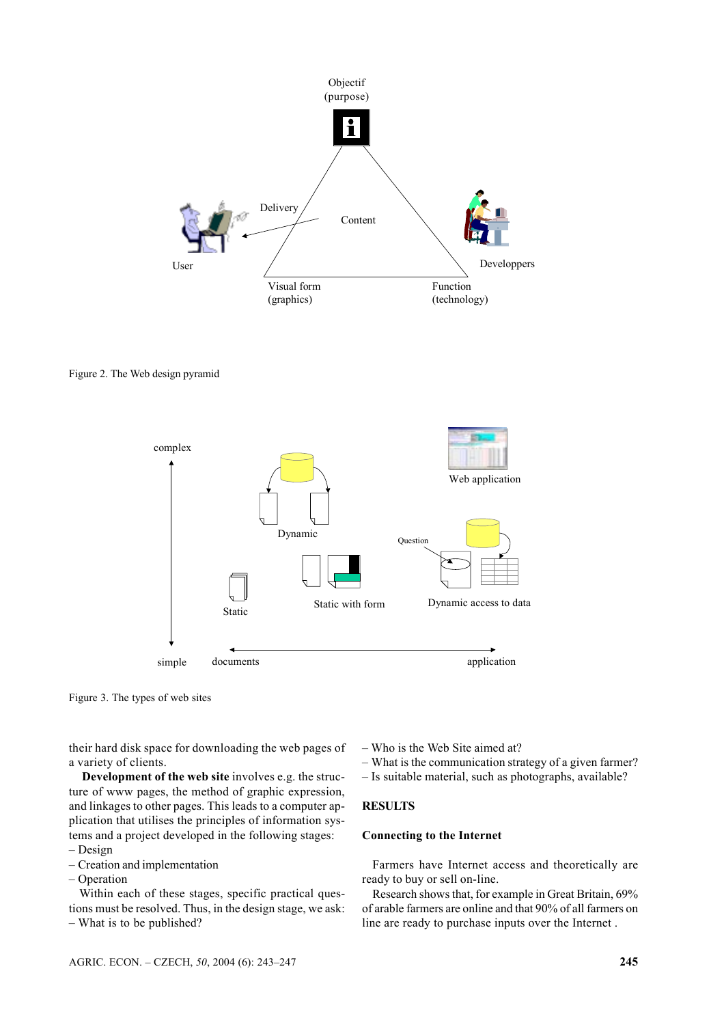

Figure 2. The Web design pyramid



Figure 3. The types of web sites

their hard disk space for downloading the web pages of a variety of clients.

**Development of the web site** involves e.g. the structure of www pages, the method of graphic expression, and linkages to other pages. This leads to a computer application that utilises the principles of information systems and a project developed in the following stages: – Design

- Creation and implementation
- Operation

Within each of these stages, specific practical questions must be resolved. Thus, in the design stage, we ask: – What is to be published?

- Who is the Web Site aimed at?
- What is the communication strategy of a given farmer?
- Is suitable material, such as photographs, available?

# **RESULTS**

## **Connecting to the Internet**

Farmers have Internet access and theoretically are ready to buy or sell on-line.

Research shows that, for example in Great Britain, 69% of arable farmers are online and that 90% of all farmers on line are ready to purchase inputs over the Internet .

AGRIC. ECON. – CZECH, *50*, 2004 (6): 243–247 **245**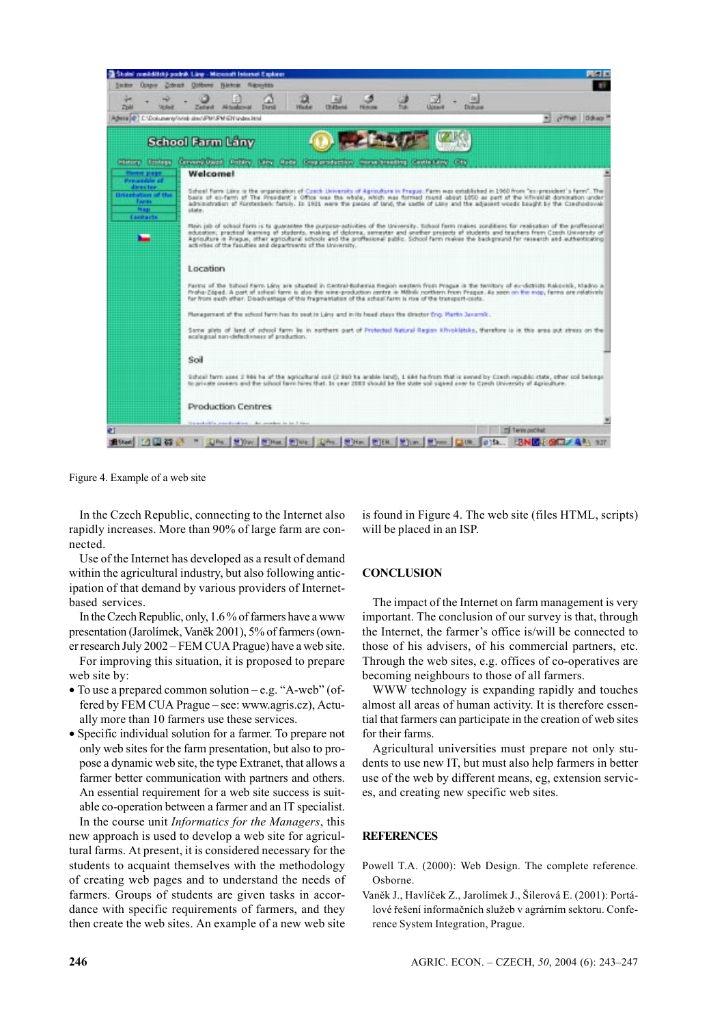

Figure 4. Example of a web site

In the Czech Republic, connecting to the Internet also rapidly increases. More than 90% of large farm are connected.

Use of the Internet has developed as a result of demand within the agricultural industry, but also following anticipation of that demand by various providers of Internetbased services.

In the Czech Republic, only, 1.6 % of farmers have a www presentation (Jarolímek, Vaněk 2001), 5% of farmers (owner research July 2002 – FEM CUA Prague) have a web site.

For improving this situation, it is proposed to prepare web site by:

- To use a prepared common solution e.g. "A-web" (offered by FEM CUA Prague – see: www.agris.cz), Actually more than 10 farmers use these services.
- Specific individual solution for a farmer. To prepare not only web sites for the farm presentation, but also to propose a dynamic web site, the type Extranet, that allows a farmer better communication with partners and others. An essential requirement for a web site success is suitable co-operation between a farmer and an IT specialist.

In the course unit *Informatics for the Managers*, this new approach is used to develop a web site for agricultural farms. At present, it is considered necessary for the students to acquaint themselves with the methodology of creating web pages and to understand the needs of farmers. Groups of students are given tasks in accordance with specific requirements of farmers, and they then create the web sites. An example of a new web site is found in Figure 4. The web site (files HTML, scripts) will be placed in an ISP.

## **CONCLUSION**

The impact of the Internet on farm management is very important. The conclusion of our survey is that, through the Internet, the farmer's office is/will be connected to those of his advisers, of his commercial partners, etc. Through the web sites, e.g. offices of co-operatives are becoming neighbours to those of all farmers.

WWW technology is expanding rapidly and touches almost all areas of human activity. It is therefore essential that farmers can participate in the creation of web sites for their farms.

Agricultural universities must prepare not only students to use new IT, but must also help farmers in better use of the web by different means, eg, extension services, and creating new specific web sites.

## **REFERENCES**

Powell T.A. (2000): Web Design. The complete reference. Osborne.

Vaněk J., Havlíček Z., Jarolímek J., Šilerová E. (2001): Portálové řešení informačních služeb v agrárním sektoru. Conference System Integration, Prague.